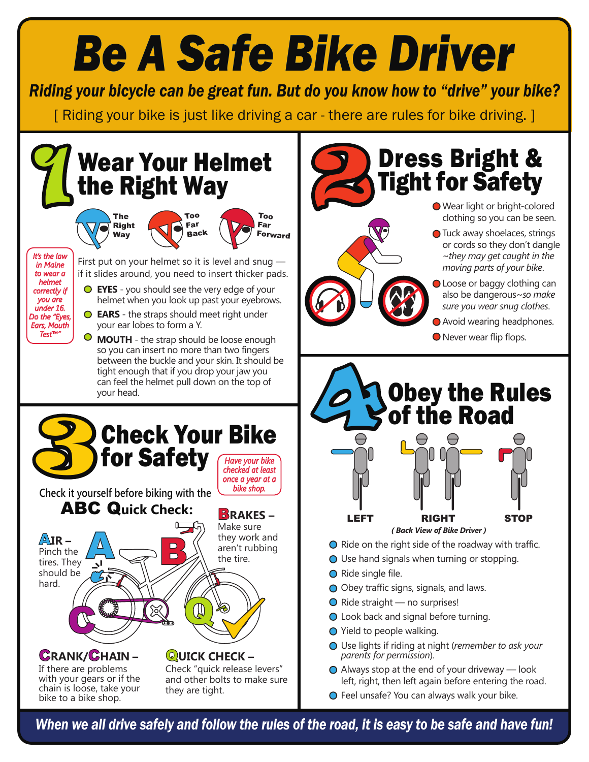# *Be A Safe Bike Driver*

*Riding your bicycle can be great fun. But do you know how to "drive" your bike?*

[ Riding your bike is just like driving a car - there are rules for bike driving. ]



*When we all drive safely and follow the rules of the road, it is easy to be safe and have fun!*